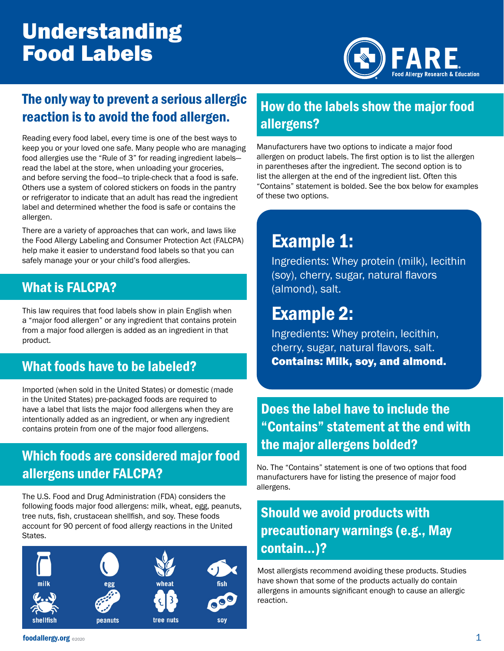# Understanding Food Labels



#### The only way to prevent a serious allergic reaction is to avoid the food allergen.

Reading every food label, every time is one of the best ways to keep you or your loved one safe. Many people who are managing food allergies use the "Rule of 3" for reading ingredient labels read the label at the store, when unloading your groceries, and before serving the food—to triple-check that a food is safe. Others use a system of colored stickers on foods in the pantry or refrigerator to indicate that an adult has read the ingredient label and determined whether the food is safe or contains the allergen.

There are a variety of approaches that can work, and laws like the Food Allergy Labeling and Consumer Protection Act (FALCPA) help make it easier to understand food labels so that you can safely manage your or your child's food allergies.

#### What is FALCPA?

This law requires that food labels show in plain English when a "major food allergen" or any ingredient that contains protein from a major food allergen is added as an ingredient in that product.

#### What foods have to be labeled?

Imported (when sold in the United States) or domestic (made in the United States) pre-packaged foods are required to have a label that lists the major food allergens when they are intentionally added as an ingredient, or when any ingredient contains protein from one of the major food allergens.

#### Which foods are considered major food allergens under FALCPA?

The U.S. Food and Drug Administration (FDA) considers the following foods major food allergens: milk, wheat, egg, peanuts, tree nuts, fish, crustacean shellfish, and soy. These foods account for 90 percent of food allergy reactions in the United States.



#### How do the labels show the major food allergens?

Manufacturers have two options to indicate a major food allergen on product labels. The first option is to list the allergen in parentheses after the ingredient. The second option is to list the allergen at the end of the ingredient list. Often this "Contains" statement is bolded. See the box below for examples of these two options.

## Example 1:

Ingredients: Whey protein (milk), lecithin (soy), cherry, sugar, natural flavors (almond), salt.

### Example 2:

Ingredients: Whey protein, lecithin, cherry, sugar, natural flavors, salt. Contains: Milk, soy, and almond.

#### Does the label have to include the "Contains" statement at the end with the major allergens bolded?

No. The "Contains" statement is one of two options that food manufacturers have for listing the presence of major food allergens.

### Should we avoid products with precautionary warnings (e.g., May contain…)?

Most allergists recommend avoiding these products. Studies have shown that some of the products actually do contain allergens in amounts significant enough to cause an allergic reaction.